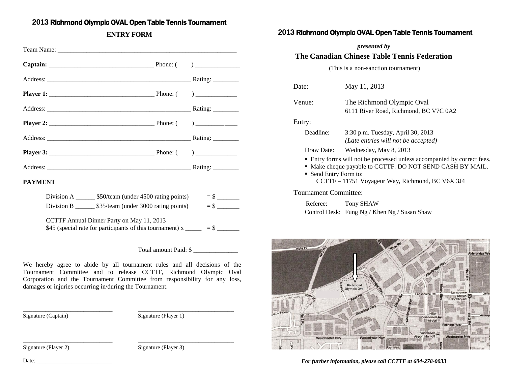# **2013** Richmond Olympic OVAL Open Table Tennis Tournament

## **ENTRY FORM**

| <b>PAYMENT</b> |                                                                           |                                                                                                                         |  |  |
|----------------|---------------------------------------------------------------------------|-------------------------------------------------------------------------------------------------------------------------|--|--|
|                | Division A ________ \$50/team (under 4500 rating points) $=$ \$ _______   |                                                                                                                         |  |  |
|                | Division B _________ \$35/team (under 3000 rating points) $=$ \$ ________ |                                                                                                                         |  |  |
|                |                                                                           | CCTTF Annual Dinner Party on May 11, 2013<br>\$45 (special rate for participants of this tournament) $x \_$ = \$ ______ |  |  |

Total amount Paid: \$

We hereby agree to abide by all tournament rules and all decisions of the Tournament Committee and to release CCTTF, Richmond Olympic Oval Corporation and the Tournament Committee from responsibility for any loss, damages or injuries occurring in/during the Tournament.

\_\_\_\_\_\_\_\_\_\_\_\_\_\_\_\_\_\_\_\_\_\_\_\_\_\_\_\_ \_\_\_\_\_\_\_\_\_\_\_\_\_\_\_\_\_\_\_\_\_\_\_\_\_\_\_\_\_\_

\_\_\_\_\_\_\_\_\_\_\_\_\_\_\_\_\_\_\_\_\_\_\_\_\_\_\_\_ \_\_\_\_\_\_\_\_\_\_\_\_\_\_\_\_\_\_\_\_\_\_\_\_\_\_\_\_\_\_

Signature (Captain) Signature (Player 1)

Signature (Player 2) Signature (Player 3)

# **2013** Richmond Olympic OVAL Open Table Tennis Tournament

*presented by*

### **The Canadian Chinese Table Tennis Federation**

(This is a non-sanction tournament)

| Date:                                                                                                                                                                                                             | May 11, 2013                                                             |  |  |  |  |  |  |  |
|-------------------------------------------------------------------------------------------------------------------------------------------------------------------------------------------------------------------|--------------------------------------------------------------------------|--|--|--|--|--|--|--|
| Venue:                                                                                                                                                                                                            | The Richmond Olympic Oval<br>6111 River Road, Richmond, BC V7C 0A2       |  |  |  |  |  |  |  |
| Entry:                                                                                                                                                                                                            |                                                                          |  |  |  |  |  |  |  |
| Deadline:                                                                                                                                                                                                         | 3:30 p.m. Tuesday, April 30, 2013<br>(Late entries will not be accepted) |  |  |  |  |  |  |  |
| Draw Date:                                                                                                                                                                                                        | Wednesday, May 8, 2013                                                   |  |  |  |  |  |  |  |
| • Entry forms will not be processed unless accompanied by correct fees.<br>• Make cheque payable to CCTTF. DO NOT SEND CASH BY MAIL.<br>• Send Entry Form to:<br>CCTTF - 11751 Voyageur Way, Richmond, BC V6X 3J4 |                                                                          |  |  |  |  |  |  |  |
| Tournament Committee:                                                                                                                                                                                             |                                                                          |  |  |  |  |  |  |  |

 Referee: Tony SHAW Control Desk: Fung Ng / Khen Ng / Susan Shaw



*For further information, please call CCTTF at 604-278-0033*

Date: